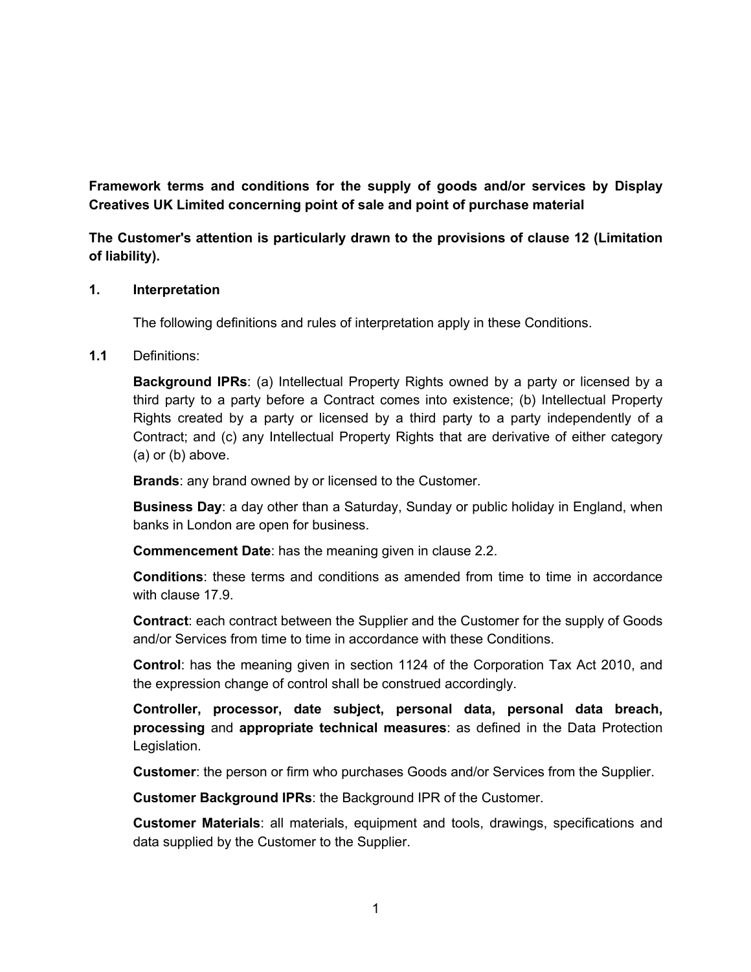**Framework terms and conditions for the supply of goods and/or services by Display Creatives UK Limited concerning point of sale and point of purchase material**

**The Customer's attention is particularly drawn to the provisions of clause 12 (Limitation of liability).**

## **1. Interpretation**

The following definitions and rules of interpretation apply in these Conditions.

# **1.1** Definitions:

**Background IPRs**: (a) Intellectual Property Rights owned by a party or licensed by a third party to a party before a Contract comes into existence; (b) Intellectual Property Rights created by a party or licensed by a third party to a party independently of a Contract; and (c) any Intellectual Property Rights that are derivative of either category (a) or (b) above.

**Brands**: any brand owned by or licensed to the Customer.

**Business Day**: a day other than a Saturday, Sunday or public holiday in England, when banks in London are open for business.

**Commencement Date**: has the meaning given in clause 2.2.

**Conditions**: these terms and conditions as amended from time to time in accordance with clause 17.9.

**Contract**: each contract between the Supplier and the Customer for the supply of Goods and/or Services from time to time in accordance with these Conditions.

**Control**: has the meaning given in section 1124 of the Corporation Tax Act 2010, and the expression change of control shall be construed accordingly.

**Controller, processor, date subject, personal data, personal data breach, processing** and **appropriate technical measures**: as defined in the Data Protection Legislation.

**Customer**: the person or firm who purchases Goods and/or Services from the Supplier.

**Customer Background IPRs**: the Background IPR of the Customer.

**Customer Materials**: all materials, equipment and tools, drawings, specifications and data supplied by the Customer to the Supplier.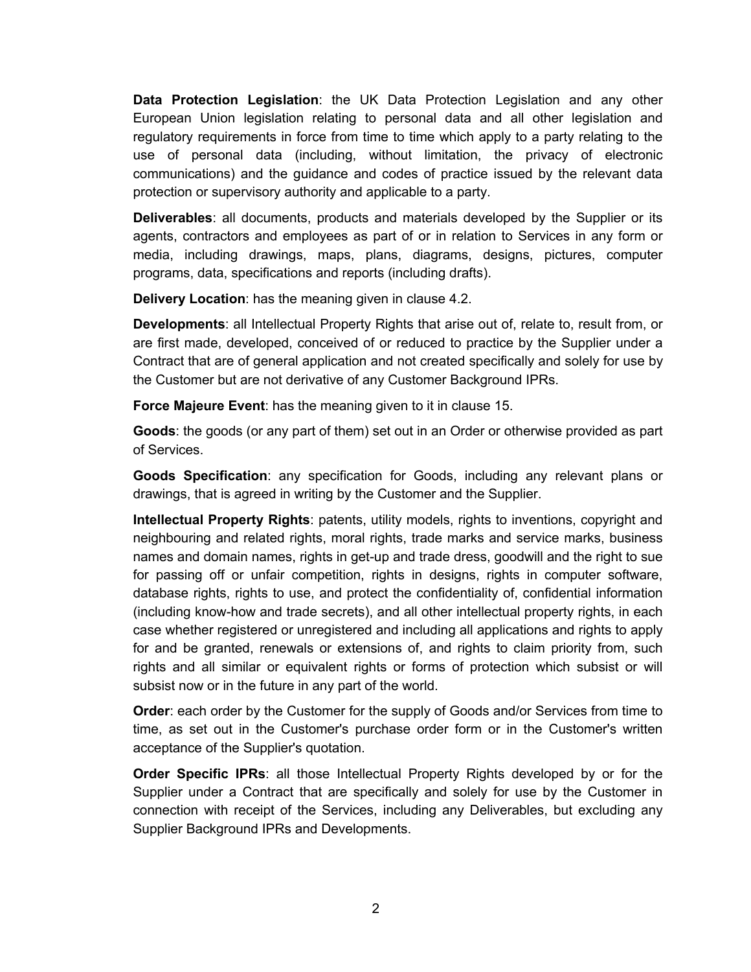**Data Protection Legislation**: the UK Data Protection Legislation and any other European Union legislation relating to personal data and all other legislation and regulatory requirements in force from time to time which apply to a party relating to the use of personal data (including, without limitation, the privacy of electronic communications) and the guidance and codes of practice issued by the relevant data protection or supervisory authority and applicable to a party.

**Deliverables**: all documents, products and materials developed by the Supplier or its agents, contractors and employees as part of or in relation to Services in any form or media, including drawings, maps, plans, diagrams, designs, pictures, computer programs, data, specifications and reports (including drafts).

**Delivery Location**: has the meaning given in clause 4.2.

**Developments**: all Intellectual Property Rights that arise out of, relate to, result from, or are first made, developed, conceived of or reduced to practice by the Supplier under a Contract that are of general application and not created specifically and solely for use by the Customer but are not derivative of any Customer Background IPRs.

**Force Majeure Event**: has the meaning given to it in clause 15.

**Goods**: the goods (or any part of them) set out in an Order or otherwise provided as part of Services.

**Goods Specification**: any specification for Goods, including any relevant plans or drawings, that is agreed in writing by the Customer and the Supplier.

**Intellectual Property Rights**: patents, utility models, rights to inventions, copyright and neighbouring and related rights, moral rights, trade marks and service marks, business names and domain names, rights in get-up and trade dress, goodwill and the right to sue for passing off or unfair competition, rights in designs, rights in computer software, database rights, rights to use, and protect the confidentiality of, confidential information (including know-how and trade secrets), and all other intellectual property rights, in each case whether registered or unregistered and including all applications and rights to apply for and be granted, renewals or extensions of, and rights to claim priority from, such rights and all similar or equivalent rights or forms of protection which subsist or will subsist now or in the future in any part of the world.

**Order**: each order by the Customer for the supply of Goods and/or Services from time to time, as set out in the Customer's purchase order form or in the Customer's written acceptance of the Supplier's quotation.

**Order Specific IPRs**: all those Intellectual Property Rights developed by or for the Supplier under a Contract that are specifically and solely for use by the Customer in connection with receipt of the Services, including any Deliverables, but excluding any Supplier Background IPRs and Developments.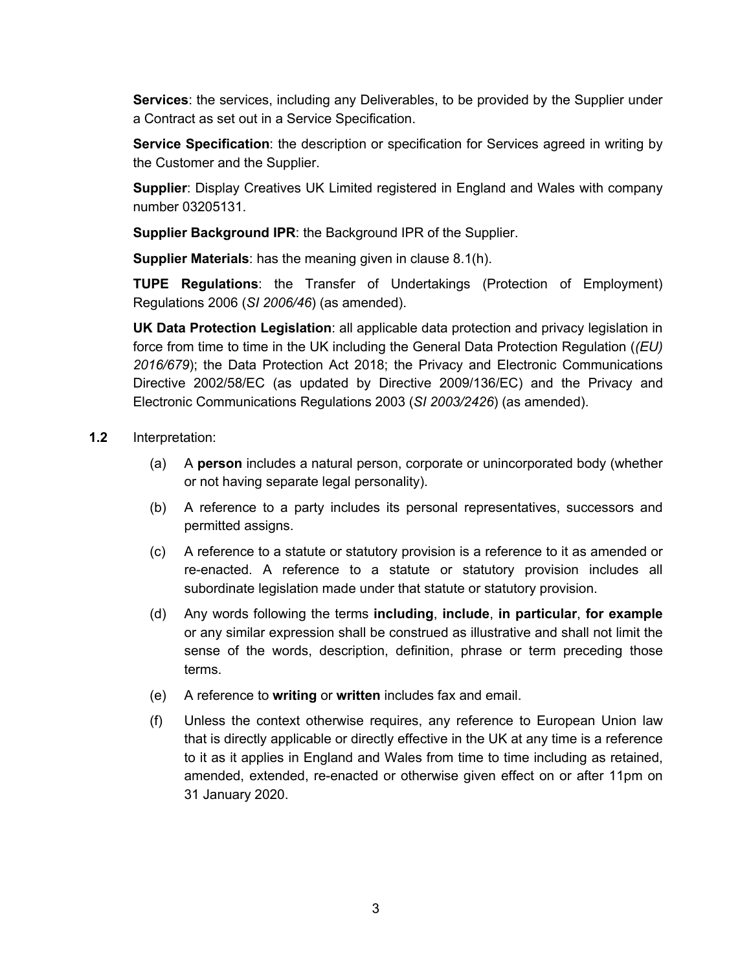**Services**: the services, including any Deliverables, to be provided by the Supplier under a Contract as set out in a Service Specification.

**Service Specification**: the description or specification for Services agreed in writing by the Customer and the Supplier.

**Supplier**: Display Creatives UK Limited registered in England and Wales with company number 03205131.

**Supplier Background IPR**: the Background IPR of the Supplier.

**Supplier Materials**: has the meaning given in clause 8.1(h).

**TUPE Regulations**: the Transfer of Undertakings (Protection of Employment) Regulations 2006 (*SI 2006/46*) (as amended).

**UK Data Protection Legislation**: all applicable data protection and privacy legislation in force from time to time in the UK including the General Data Protection Regulation (*(EU) 2016/679*); the Data Protection Act 2018; the Privacy and Electronic Communications Directive 2002/58/EC (as updated by Directive 2009/136/EC) and the Privacy and Electronic Communications Regulations 2003 (*SI 2003/2426*) (as amended).

- **1.2** Interpretation:
	- (a) A **person** includes a natural person, corporate or unincorporated body (whether or not having separate legal personality).
	- (b) A reference to a party includes its personal representatives, successors and permitted assigns.
	- (c) A reference to a statute or statutory provision is a reference to it as amended or re-enacted. A reference to a statute or statutory provision includes all subordinate legislation made under that statute or statutory provision.
	- (d) Any words following the terms **including**, **include**, **in particular**, **for example** or any similar expression shall be construed as illustrative and shall not limit the sense of the words, description, definition, phrase or term preceding those terms.
	- (e) A reference to **writing** or **written** includes fax and email.
	- (f) Unless the context otherwise requires, any reference to European Union law that is directly applicable or directly effective in the UK at any time is a reference to it as it applies in England and Wales from time to time including as retained, amended, extended, re-enacted or otherwise given effect on or after 11pm on 31 January 2020.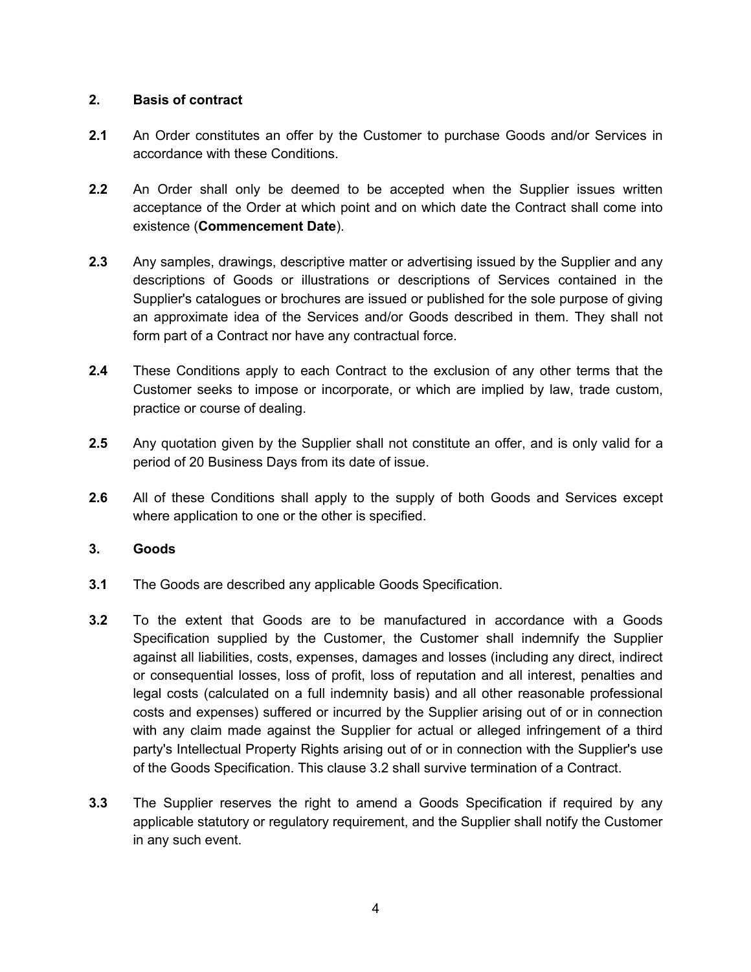# **2. Basis of contract**

- **2.1** An Order constitutes an offer by the Customer to purchase Goods and/or Services in accordance with these Conditions.
- **2.2** An Order shall only be deemed to be accepted when the Supplier issues written acceptance of the Order at which point and on which date the Contract shall come into existence (**Commencement Date**).
- **2.3** Any samples, drawings, descriptive matter or advertising issued by the Supplier and any descriptions of Goods or illustrations or descriptions of Services contained in the Supplier's catalogues or brochures are issued or published for the sole purpose of giving an approximate idea of the Services and/or Goods described in them. They shall not form part of a Contract nor have any contractual force.
- **2.4** These Conditions apply to each Contract to the exclusion of any other terms that the Customer seeks to impose or incorporate, or which are implied by law, trade custom, practice or course of dealing.
- **2.5** Any quotation given by the Supplier shall not constitute an offer, and is only valid for a period of 20 Business Days from its date of issue.
- **2.6** All of these Conditions shall apply to the supply of both Goods and Services except where application to one or the other is specified.

## **3. Goods**

- **3.1** The Goods are described any applicable Goods Specification.
- **3.2** To the extent that Goods are to be manufactured in accordance with a Goods Specification supplied by the Customer, the Customer shall indemnify the Supplier against all liabilities, costs, expenses, damages and losses (including any direct, indirect or consequential losses, loss of profit, loss of reputation and all interest, penalties and legal costs (calculated on a full indemnity basis) and all other reasonable professional costs and expenses) suffered or incurred by the Supplier arising out of or in connection with any claim made against the Supplier for actual or alleged infringement of a third party's Intellectual Property Rights arising out of or in connection with the Supplier's use of the Goods Specification. This clause 3.2 shall survive termination of a Contract.
- **3.3** The Supplier reserves the right to amend a Goods Specification if required by any applicable statutory or regulatory requirement, and the Supplier shall notify the Customer in any such event.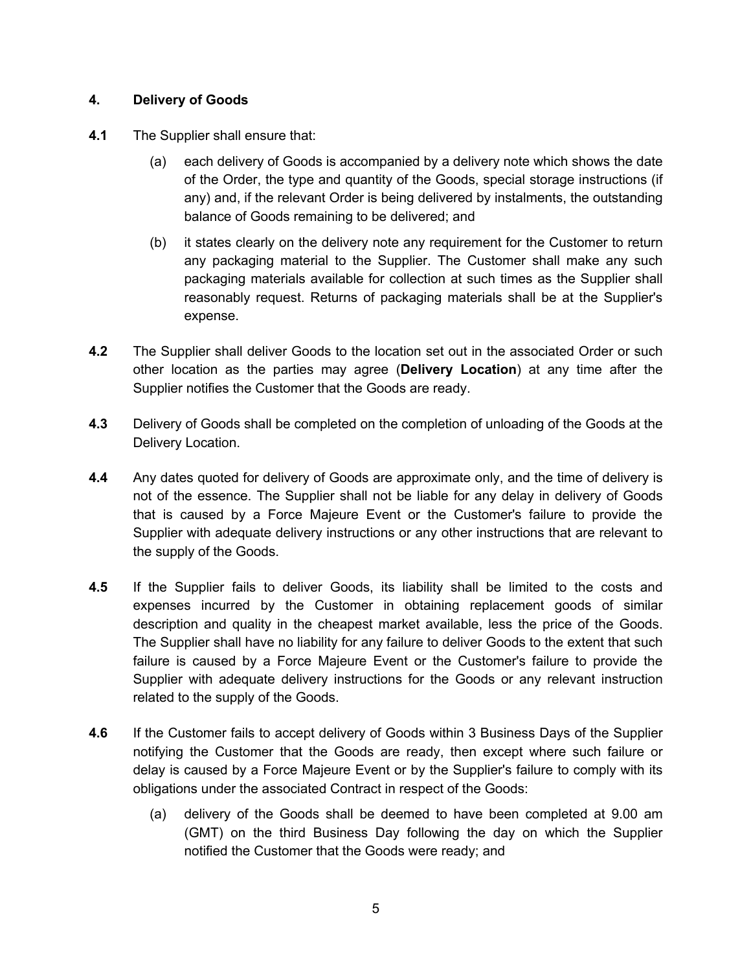# **4. Delivery of Goods**

- **4.1** The Supplier shall ensure that:
	- (a) each delivery of Goods is accompanied by a delivery note which shows the date of the Order, the type and quantity of the Goods, special storage instructions (if any) and, if the relevant Order is being delivered by instalments, the outstanding balance of Goods remaining to be delivered; and
	- (b) it states clearly on the delivery note any requirement for the Customer to return any packaging material to the Supplier. The Customer shall make any such packaging materials available for collection at such times as the Supplier shall reasonably request. Returns of packaging materials shall be at the Supplier's expense.
- **4.2** The Supplier shall deliver Goods to the location set out in the associated Order or such other location as the parties may agree (**Delivery Location**) at any time after the Supplier notifies the Customer that the Goods are ready.
- **4.3** Delivery of Goods shall be completed on the completion of unloading of the Goods at the Delivery Location.
- **4.4** Any dates quoted for delivery of Goods are approximate only, and the time of delivery is not of the essence. The Supplier shall not be liable for any delay in delivery of Goods that is caused by a Force Majeure Event or the Customer's failure to provide the Supplier with adequate delivery instructions or any other instructions that are relevant to the supply of the Goods.
- **4.5** If the Supplier fails to deliver Goods, its liability shall be limited to the costs and expenses incurred by the Customer in obtaining replacement goods of similar description and quality in the cheapest market available, less the price of the Goods. The Supplier shall have no liability for any failure to deliver Goods to the extent that such failure is caused by a Force Majeure Event or the Customer's failure to provide the Supplier with adequate delivery instructions for the Goods or any relevant instruction related to the supply of the Goods.
- **4.6** If the Customer fails to accept delivery of Goods within 3 Business Days of the Supplier notifying the Customer that the Goods are ready, then except where such failure or delay is caused by a Force Majeure Event or by the Supplier's failure to comply with its obligations under the associated Contract in respect of the Goods:
	- (a) delivery of the Goods shall be deemed to have been completed at 9.00 am (GMT) on the third Business Day following the day on which the Supplier notified the Customer that the Goods were ready; and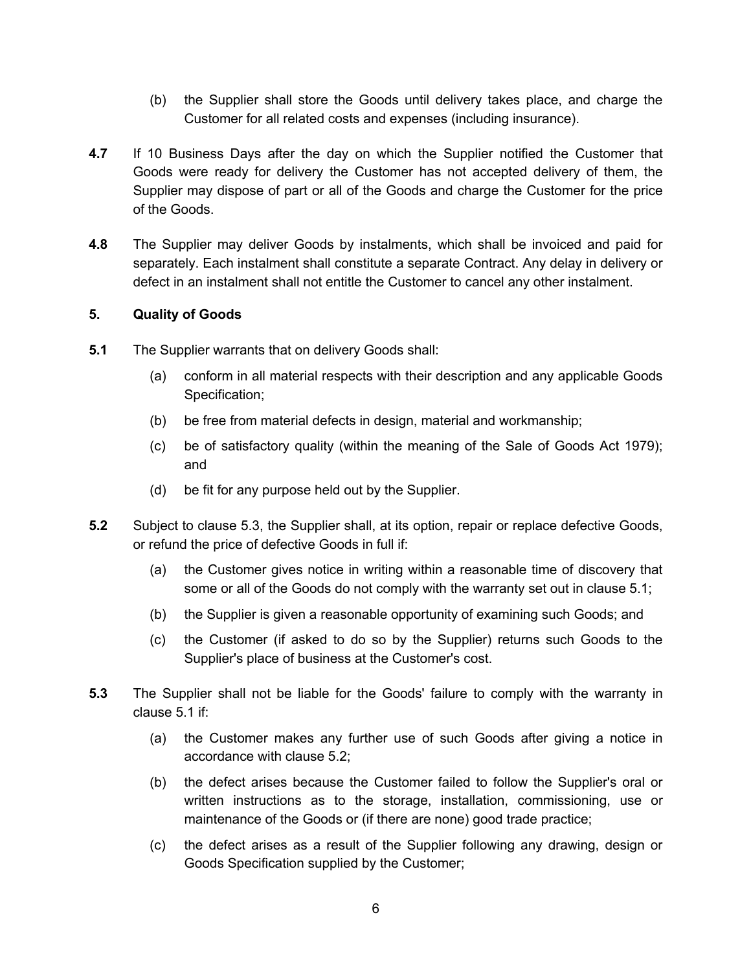- (b) the Supplier shall store the Goods until delivery takes place, and charge the Customer for all related costs and expenses (including insurance).
- **4.7** If 10 Business Days after the day on which the Supplier notified the Customer that Goods were ready for delivery the Customer has not accepted delivery of them, the Supplier may dispose of part or all of the Goods and charge the Customer for the price of the Goods.
- **4.8** The Supplier may deliver Goods by instalments, which shall be invoiced and paid for separately. Each instalment shall constitute a separate Contract. Any delay in delivery or defect in an instalment shall not entitle the Customer to cancel any other instalment.

## **5. Quality of Goods**

- **5.1** The Supplier warrants that on delivery Goods shall:
	- (a) conform in all material respects with their description and any applicable Goods Specification;
	- (b) be free from material defects in design, material and workmanship;
	- (c) be of satisfactory quality (within the meaning of the Sale of Goods Act 1979); and
	- (d) be fit for any purpose held out by the Supplier.
- **5.2** Subject to clause 5.3, the Supplier shall, at its option, repair or replace defective Goods, or refund the price of defective Goods in full if:
	- (a) the Customer gives notice in writing within a reasonable time of discovery that some or all of the Goods do not comply with the warranty set out in clause 5.1;
	- (b) the Supplier is given a reasonable opportunity of examining such Goods; and
	- (c) the Customer (if asked to do so by the Supplier) returns such Goods to the Supplier's place of business at the Customer's cost.
- **5.3** The Supplier shall not be liable for the Goods' failure to comply with the warranty in clause 5.1 if:
	- (a) the Customer makes any further use of such Goods after giving a notice in accordance with clause 5.2;
	- (b) the defect arises because the Customer failed to follow the Supplier's oral or written instructions as to the storage, installation, commissioning, use or maintenance of the Goods or (if there are none) good trade practice;
	- (c) the defect arises as a result of the Supplier following any drawing, design or Goods Specification supplied by the Customer;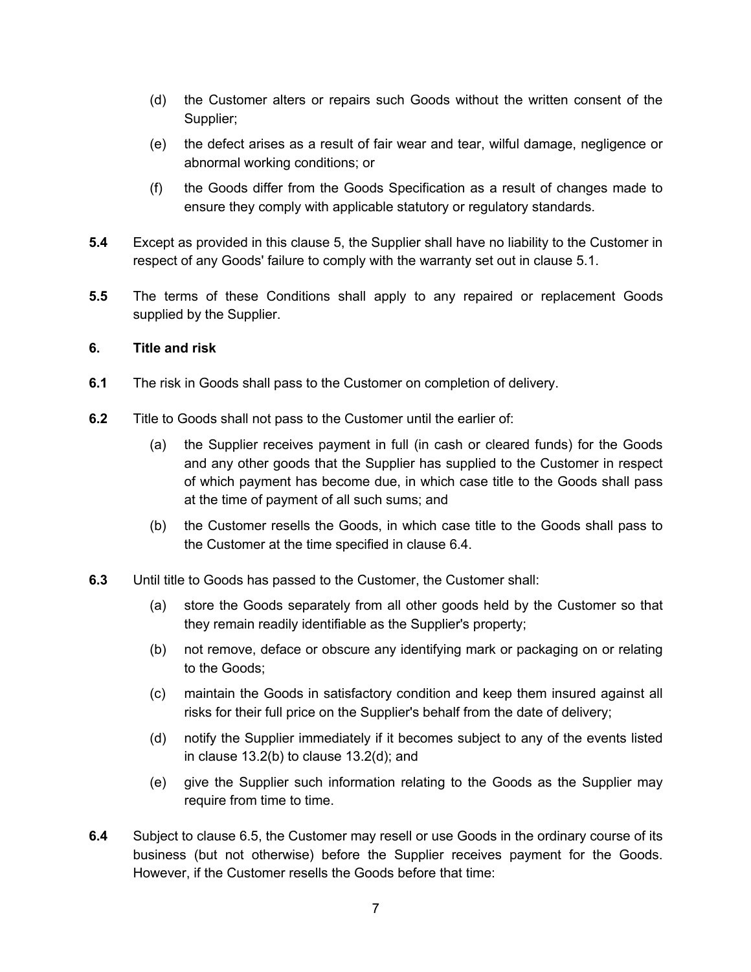- (d) the Customer alters or repairs such Goods without the written consent of the Supplier;
- (e) the defect arises as a result of fair wear and tear, wilful damage, negligence or abnormal working conditions; or
- (f) the Goods differ from the Goods Specification as a result of changes made to ensure they comply with applicable statutory or regulatory standards.
- **5.4** Except as provided in this clause 5, the Supplier shall have no liability to the Customer in respect of any Goods' failure to comply with the warranty set out in clause 5.1.
- **5.5** The terms of these Conditions shall apply to any repaired or replacement Goods supplied by the Supplier.

#### **6. Title and risk**

- **6.1** The risk in Goods shall pass to the Customer on completion of delivery.
- **6.2** Title to Goods shall not pass to the Customer until the earlier of:
	- (a) the Supplier receives payment in full (in cash or cleared funds) for the Goods and any other goods that the Supplier has supplied to the Customer in respect of which payment has become due, in which case title to the Goods shall pass at the time of payment of all such sums; and
	- (b) the Customer resells the Goods, in which case title to the Goods shall pass to the Customer at the time specified in clause 6.4.
- **6.3** Until title to Goods has passed to the Customer, the Customer shall:
	- (a) store the Goods separately from all other goods held by the Customer so that they remain readily identifiable as the Supplier's property;
	- (b) not remove, deface or obscure any identifying mark or packaging on or relating to the Goods;
	- (c) maintain the Goods in satisfactory condition and keep them insured against all risks for their full price on the Supplier's behalf from the date of delivery;
	- (d) notify the Supplier immediately if it becomes subject to any of the events listed in clause 13.2(b) to clause 13.2(d); and
	- (e) give the Supplier such information relating to the Goods as the Supplier may require from time to time.
- **6.4** Subject to clause 6.5, the Customer may resell or use Goods in the ordinary course of its business (but not otherwise) before the Supplier receives payment for the Goods. However, if the Customer resells the Goods before that time: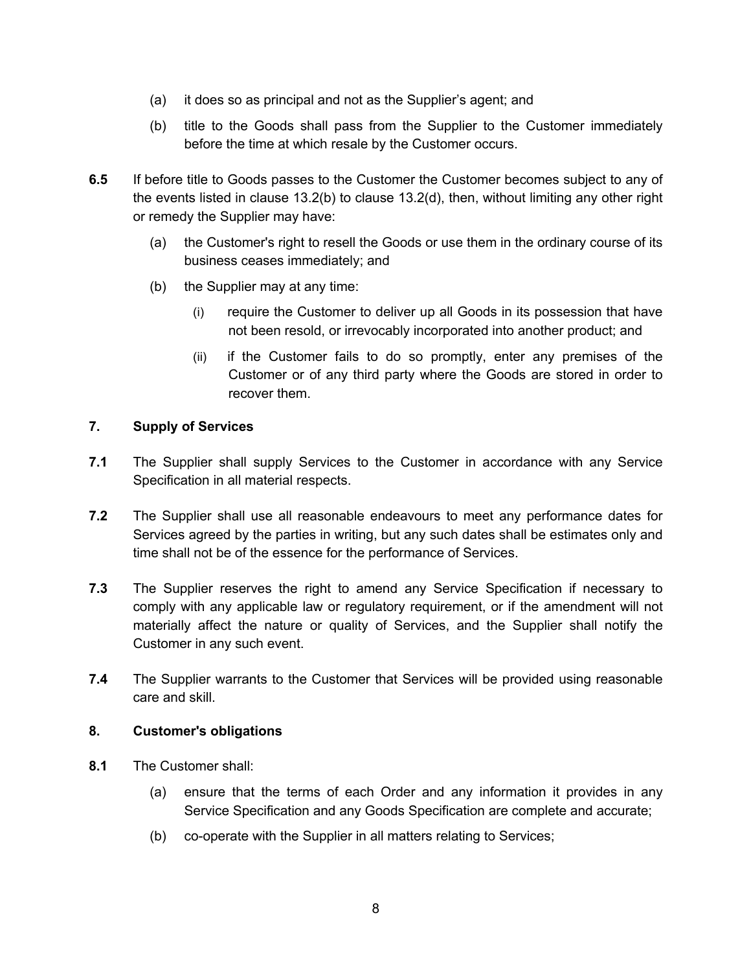- (a) it does so as principal and not as the Supplier's agent; and
- (b) title to the Goods shall pass from the Supplier to the Customer immediately before the time at which resale by the Customer occurs.
- **6.5** If before title to Goods passes to the Customer the Customer becomes subject to any of the events listed in clause 13.2(b) to clause 13.2(d), then, without limiting any other right or remedy the Supplier may have:
	- (a) the Customer's right to resell the Goods or use them in the ordinary course of its business ceases immediately; and
	- (b) the Supplier may at any time:
		- (i) require the Customer to deliver up all Goods in its possession that have not been resold, or irrevocably incorporated into another product; and
		- (ii) if the Customer fails to do so promptly, enter any premises of the Customer or of any third party where the Goods are stored in order to recover them.

## **7. Supply of Services**

- **7.1** The Supplier shall supply Services to the Customer in accordance with any Service Specification in all material respects.
- **7.2** The Supplier shall use all reasonable endeavours to meet any performance dates for Services agreed by the parties in writing, but any such dates shall be estimates only and time shall not be of the essence for the performance of Services.
- **7.3** The Supplier reserves the right to amend any Service Specification if necessary to comply with any applicable law or regulatory requirement, or if the amendment will not materially affect the nature or quality of Services, and the Supplier shall notify the Customer in any such event.
- **7.4** The Supplier warrants to the Customer that Services will be provided using reasonable care and skill.

#### **8. Customer's obligations**

- **8.1** The Customer shall:
	- (a) ensure that the terms of each Order and any information it provides in any Service Specification and any Goods Specification are complete and accurate;
	- (b) co-operate with the Supplier in all matters relating to Services;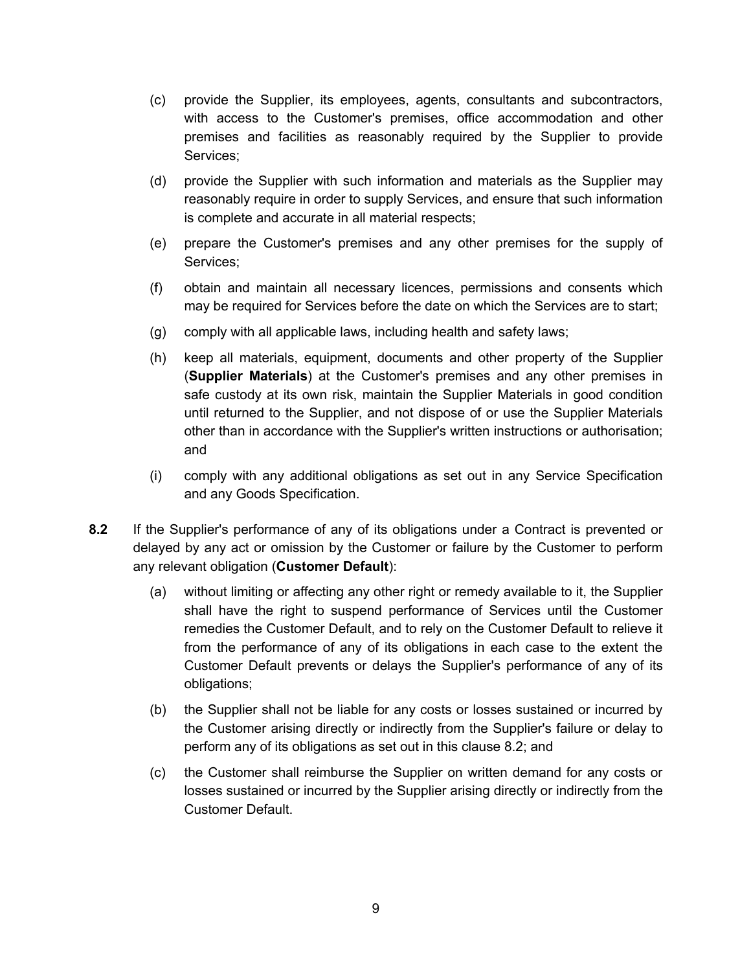- (c) provide the Supplier, its employees, agents, consultants and subcontractors, with access to the Customer's premises, office accommodation and other premises and facilities as reasonably required by the Supplier to provide Services;
- (d) provide the Supplier with such information and materials as the Supplier may reasonably require in order to supply Services, and ensure that such information is complete and accurate in all material respects;
- (e) prepare the Customer's premises and any other premises for the supply of Services;
- (f) obtain and maintain all necessary licences, permissions and consents which may be required for Services before the date on which the Services are to start;
- (g) comply with all applicable laws, including health and safety laws;
- (h) keep all materials, equipment, documents and other property of the Supplier (**Supplier Materials**) at the Customer's premises and any other premises in safe custody at its own risk, maintain the Supplier Materials in good condition until returned to the Supplier, and not dispose of or use the Supplier Materials other than in accordance with the Supplier's written instructions or authorisation; and
- (i) comply with any additional obligations as set out in any Service Specification and any Goods Specification.
- **8.2** If the Supplier's performance of any of its obligations under a Contract is prevented or delayed by any act or omission by the Customer or failure by the Customer to perform any relevant obligation (**Customer Default**):
	- (a) without limiting or affecting any other right or remedy available to it, the Supplier shall have the right to suspend performance of Services until the Customer remedies the Customer Default, and to rely on the Customer Default to relieve it from the performance of any of its obligations in each case to the extent the Customer Default prevents or delays the Supplier's performance of any of its obligations;
	- (b) the Supplier shall not be liable for any costs or losses sustained or incurred by the Customer arising directly or indirectly from the Supplier's failure or delay to perform any of its obligations as set out in this clause 8.2; and
	- (c) the Customer shall reimburse the Supplier on written demand for any costs or losses sustained or incurred by the Supplier arising directly or indirectly from the Customer Default.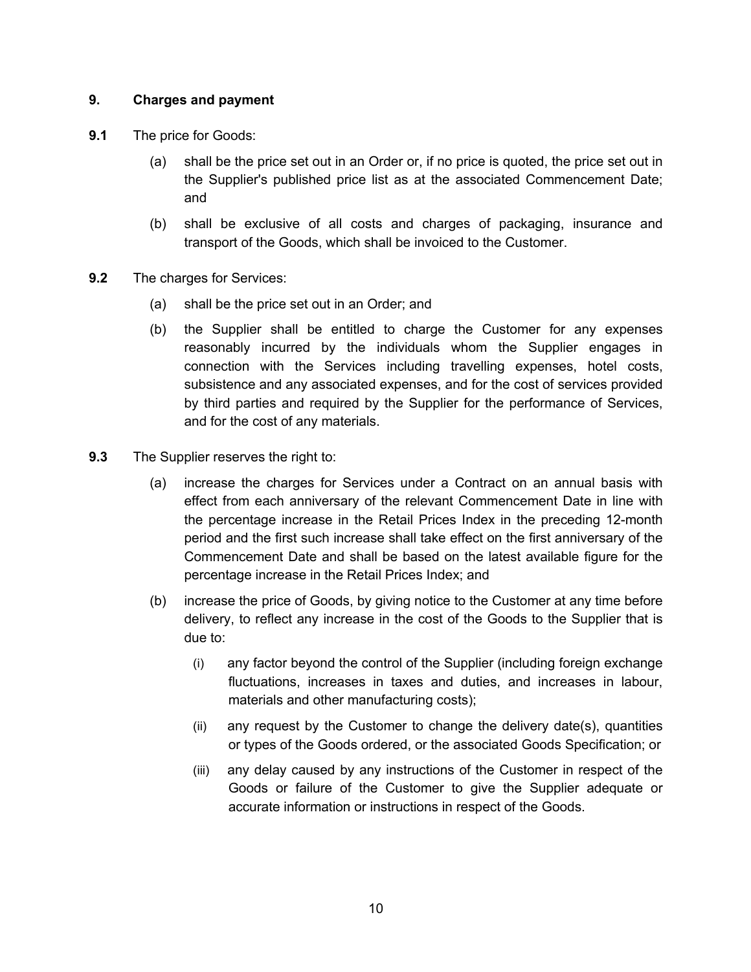# **9. Charges and payment**

- **9.1** The price for Goods:
	- (a) shall be the price set out in an Order or, if no price is quoted, the price set out in the Supplier's published price list as at the associated Commencement Date; and
	- (b) shall be exclusive of all costs and charges of packaging, insurance and transport of the Goods, which shall be invoiced to the Customer.
- **9.2** The charges for Services:
	- (a) shall be the price set out in an Order; and
	- (b) the Supplier shall be entitled to charge the Customer for any expenses reasonably incurred by the individuals whom the Supplier engages in connection with the Services including travelling expenses, hotel costs, subsistence and any associated expenses, and for the cost of services provided by third parties and required by the Supplier for the performance of Services, and for the cost of any materials.
- **9.3** The Supplier reserves the right to:
	- (a) increase the charges for Services under a Contract on an annual basis with effect from each anniversary of the relevant Commencement Date in line with the percentage increase in the Retail Prices Index in the preceding 12-month period and the first such increase shall take effect on the first anniversary of the Commencement Date and shall be based on the latest available figure for the percentage increase in the Retail Prices Index; and
	- (b) increase the price of Goods, by giving notice to the Customer at any time before delivery, to reflect any increase in the cost of the Goods to the Supplier that is due to:
		- (i) any factor beyond the control of the Supplier (including foreign exchange fluctuations, increases in taxes and duties, and increases in labour, materials and other manufacturing costs);
		- (ii) any request by the Customer to change the delivery date(s), quantities or types of the Goods ordered, or the associated Goods Specification; or
		- (iii) any delay caused by any instructions of the Customer in respect of the Goods or failure of the Customer to give the Supplier adequate or accurate information or instructions in respect of the Goods.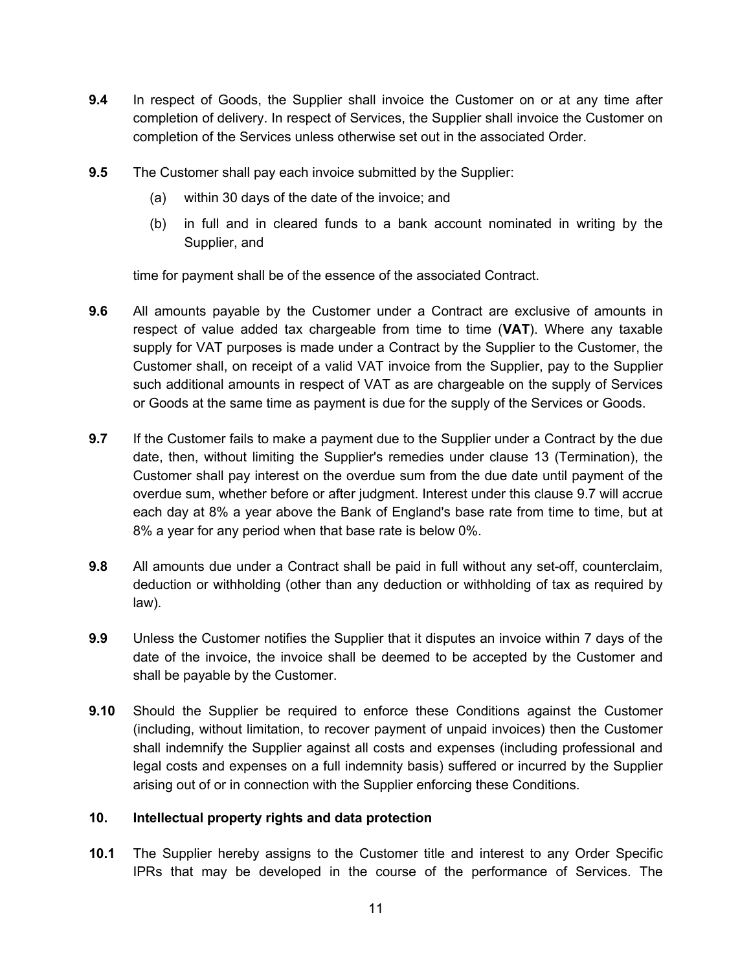- **9.4** In respect of Goods, the Supplier shall invoice the Customer on or at any time after completion of delivery. In respect of Services, the Supplier shall invoice the Customer on completion of the Services unless otherwise set out in the associated Order.
- **9.5** The Customer shall pay each invoice submitted by the Supplier:
	- (a) within 30 days of the date of the invoice; and
	- (b) in full and in cleared funds to a bank account nominated in writing by the Supplier, and

time for payment shall be of the essence of the associated Contract.

- **9.6** All amounts payable by the Customer under a Contract are exclusive of amounts in respect of value added tax chargeable from time to time (**VAT**). Where any taxable supply for VAT purposes is made under a Contract by the Supplier to the Customer, the Customer shall, on receipt of a valid VAT invoice from the Supplier, pay to the Supplier such additional amounts in respect of VAT as are chargeable on the supply of Services or Goods at the same time as payment is due for the supply of the Services or Goods.
- **9.7** If the Customer fails to make a payment due to the Supplier under a Contract by the due date, then, without limiting the Supplier's remedies under clause 13 (Termination), the Customer shall pay interest on the overdue sum from the due date until payment of the overdue sum, whether before or after judgment. Interest under this clause 9.7 will accrue each day at 8% a year above the Bank of England's base rate from time to time, but at 8% a year for any period when that base rate is below 0%.
- **9.8** All amounts due under a Contract shall be paid in full without any set-off, counterclaim, deduction or withholding (other than any deduction or withholding of tax as required by law).
- **9.9** Unless the Customer notifies the Supplier that it disputes an invoice within 7 days of the date of the invoice, the invoice shall be deemed to be accepted by the Customer and shall be payable by the Customer.
- **9.10** Should the Supplier be required to enforce these Conditions against the Customer (including, without limitation, to recover payment of unpaid invoices) then the Customer shall indemnify the Supplier against all costs and expenses (including professional and legal costs and expenses on a full indemnity basis) suffered or incurred by the Supplier arising out of or in connection with the Supplier enforcing these Conditions.

#### **10. Intellectual property rights and data protection**

**10.1** The Supplier hereby assigns to the Customer title and interest to any Order Specific IPRs that may be developed in the course of the performance of Services. The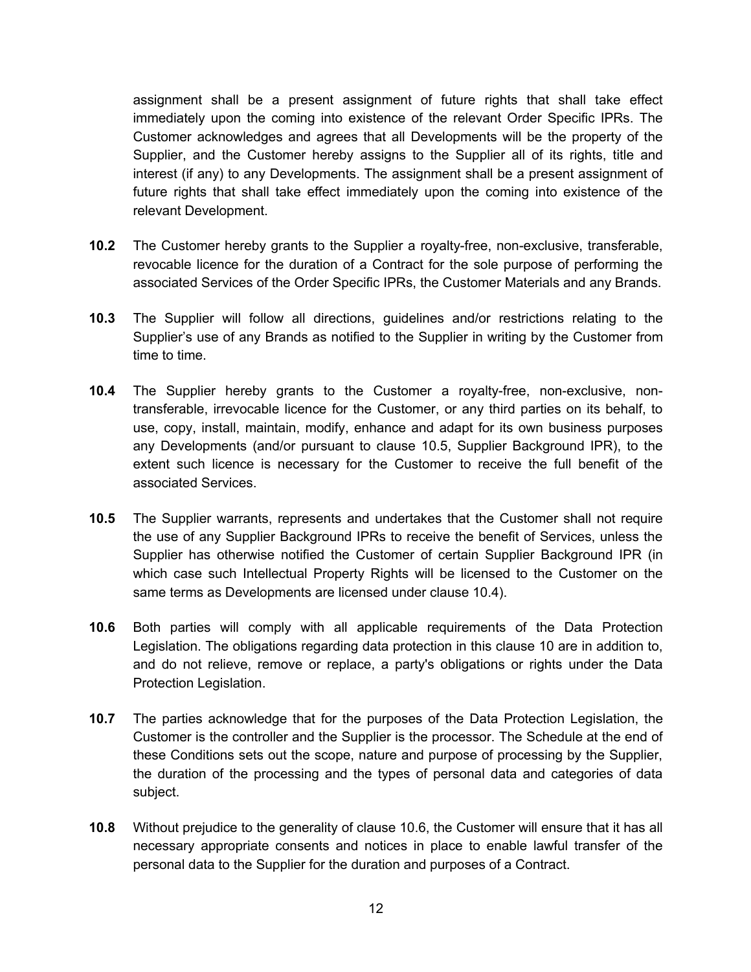assignment shall be a present assignment of future rights that shall take effect immediately upon the coming into existence of the relevant Order Specific IPRs. The Customer acknowledges and agrees that all Developments will be the property of the Supplier, and the Customer hereby assigns to the Supplier all of its rights, title and interest (if any) to any Developments. The assignment shall be a present assignment of future rights that shall take effect immediately upon the coming into existence of the relevant Development.

- **10.2** The Customer hereby grants to the Supplier a royalty-free, non-exclusive, transferable, revocable licence for the duration of a Contract for the sole purpose of performing the associated Services of the Order Specific IPRs, the Customer Materials and any Brands.
- **10.3** The Supplier will follow all directions, guidelines and/or restrictions relating to the Supplier's use of any Brands as notified to the Supplier in writing by the Customer from time to time.
- **10.4** The Supplier hereby grants to the Customer a royalty-free, non-exclusive, nontransferable, irrevocable licence for the Customer, or any third parties on its behalf, to use, copy, install, maintain, modify, enhance and adapt for its own business purposes any Developments (and/or pursuant to clause 10.5, Supplier Background IPR), to the extent such licence is necessary for the Customer to receive the full benefit of the associated Services.
- **10.5** The Supplier warrants, represents and undertakes that the Customer shall not require the use of any Supplier Background IPRs to receive the benefit of Services, unless the Supplier has otherwise notified the Customer of certain Supplier Background IPR (in which case such Intellectual Property Rights will be licensed to the Customer on the same terms as Developments are licensed under clause 10.4).
- **10.6** Both parties will comply with all applicable requirements of the Data Protection Legislation. The obligations regarding data protection in this clause 10 are in addition to, and do not relieve, remove or replace, a party's obligations or rights under the Data Protection Legislation.
- **10.7** The parties acknowledge that for the purposes of the Data Protection Legislation, the Customer is the controller and the Supplier is the processor. The Schedule at the end of these Conditions sets out the scope, nature and purpose of processing by the Supplier, the duration of the processing and the types of personal data and categories of data subject.
- **10.8** Without prejudice to the generality of clause 10.6, the Customer will ensure that it has all necessary appropriate consents and notices in place to enable lawful transfer of the personal data to the Supplier for the duration and purposes of a Contract.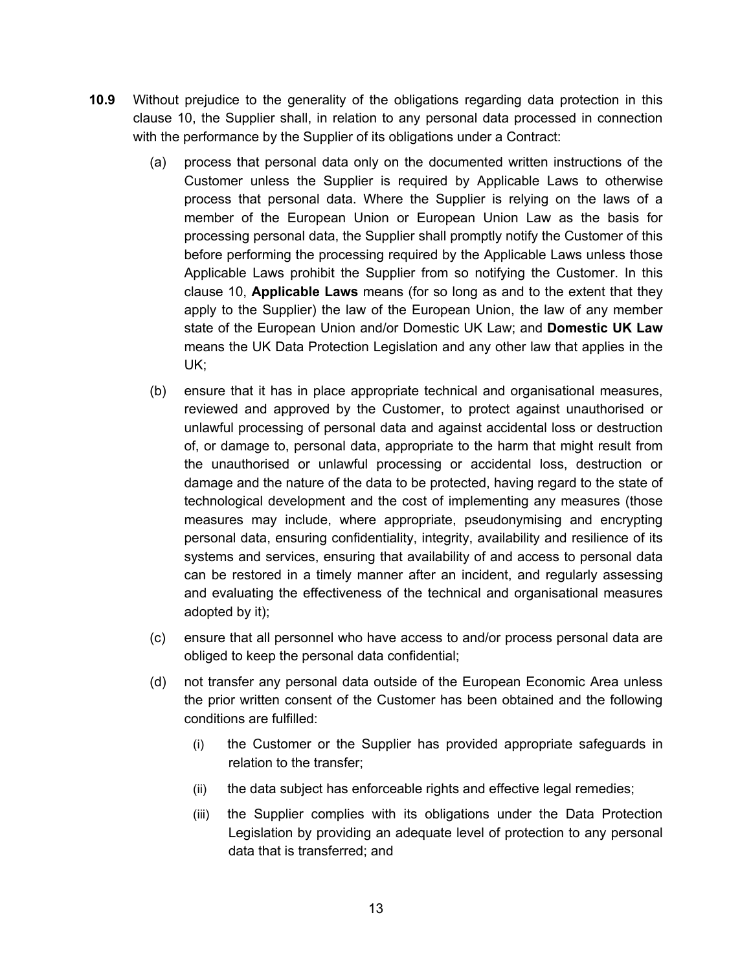- **10.9** Without prejudice to the generality of the obligations regarding data protection in this clause 10, the Supplier shall, in relation to any personal data processed in connection with the performance by the Supplier of its obligations under a Contract:
	- (a) process that personal data only on the documented written instructions of the Customer unless the Supplier is required by Applicable Laws to otherwise process that personal data. Where the Supplier is relying on the laws of a member of the European Union or European Union Law as the basis for processing personal data, the Supplier shall promptly notify the Customer of this before performing the processing required by the Applicable Laws unless those Applicable Laws prohibit the Supplier from so notifying the Customer. In this clause 10, **Applicable Laws** means (for so long as and to the extent that they apply to the Supplier) the law of the European Union, the law of any member state of the European Union and/or Domestic UK Law; and **Domestic UK Law**  means the UK Data Protection Legislation and any other law that applies in the UK;
	- (b) ensure that it has in place appropriate technical and organisational measures, reviewed and approved by the Customer, to protect against unauthorised or unlawful processing of personal data and against accidental loss or destruction of, or damage to, personal data, appropriate to the harm that might result from the unauthorised or unlawful processing or accidental loss, destruction or damage and the nature of the data to be protected, having regard to the state of technological development and the cost of implementing any measures (those measures may include, where appropriate, pseudonymising and encrypting personal data, ensuring confidentiality, integrity, availability and resilience of its systems and services, ensuring that availability of and access to personal data can be restored in a timely manner after an incident, and regularly assessing and evaluating the effectiveness of the technical and organisational measures adopted by it);
	- (c) ensure that all personnel who have access to and/or process personal data are obliged to keep the personal data confidential;
	- (d) not transfer any personal data outside of the European Economic Area unless the prior written consent of the Customer has been obtained and the following conditions are fulfilled:
		- (i) the Customer or the Supplier has provided appropriate safeguards in relation to the transfer;
		- (ii) the data subject has enforceable rights and effective legal remedies;
		- (iii) the Supplier complies with its obligations under the Data Protection Legislation by providing an adequate level of protection to any personal data that is transferred; and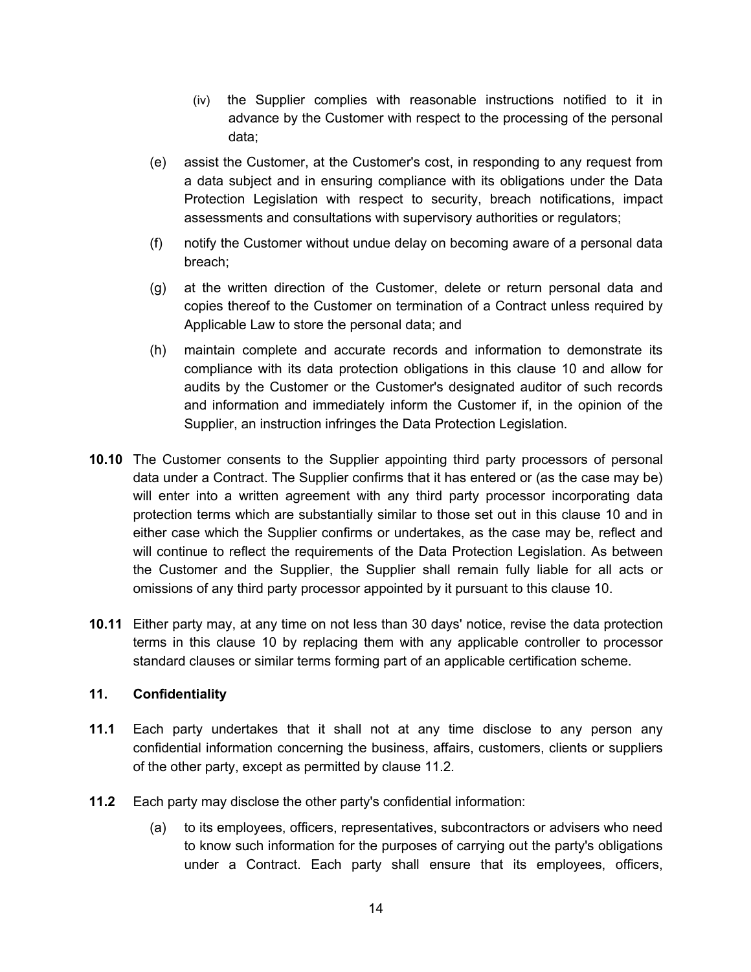- (iv) the Supplier complies with reasonable instructions notified to it in advance by the Customer with respect to the processing of the personal data;
- (e) assist the Customer, at the Customer's cost, in responding to any request from a data subject and in ensuring compliance with its obligations under the Data Protection Legislation with respect to security, breach notifications, impact assessments and consultations with supervisory authorities or regulators;
- (f) notify the Customer without undue delay on becoming aware of a personal data breach;
- (g) at the written direction of the Customer, delete or return personal data and copies thereof to the Customer on termination of a Contract unless required by Applicable Law to store the personal data; and
- (h) maintain complete and accurate records and information to demonstrate its compliance with its data protection obligations in this clause 10 and allow for audits by the Customer or the Customer's designated auditor of such records and information and immediately inform the Customer if, in the opinion of the Supplier, an instruction infringes the Data Protection Legislation.
- **10.10** The Customer consents to the Supplier appointing third party processors of personal data under a Contract. The Supplier confirms that it has entered or (as the case may be) will enter into a written agreement with any third party processor incorporating data protection terms which are substantially similar to those set out in this clause 10 and in either case which the Supplier confirms or undertakes, as the case may be, reflect and will continue to reflect the requirements of the Data Protection Legislation. As between the Customer and the Supplier, the Supplier shall remain fully liable for all acts or omissions of any third party processor appointed by it pursuant to this clause 10.
- **10.11** Either party may, at any time on not less than 30 days' notice, revise the data protection terms in this clause 10 by replacing them with any applicable controller to processor standard clauses or similar terms forming part of an applicable certification scheme.

#### **11. Confidentiality**

- **11.1** Each party undertakes that it shall not at any time disclose to any person any confidential information concerning the business, affairs, customers, clients or suppliers of the other party, except as permitted by clause 11.2*.*
- **11.2** Each party may disclose the other party's confidential information:
	- (a) to its employees, officers, representatives, subcontractors or advisers who need to know such information for the purposes of carrying out the party's obligations under a Contract. Each party shall ensure that its employees, officers,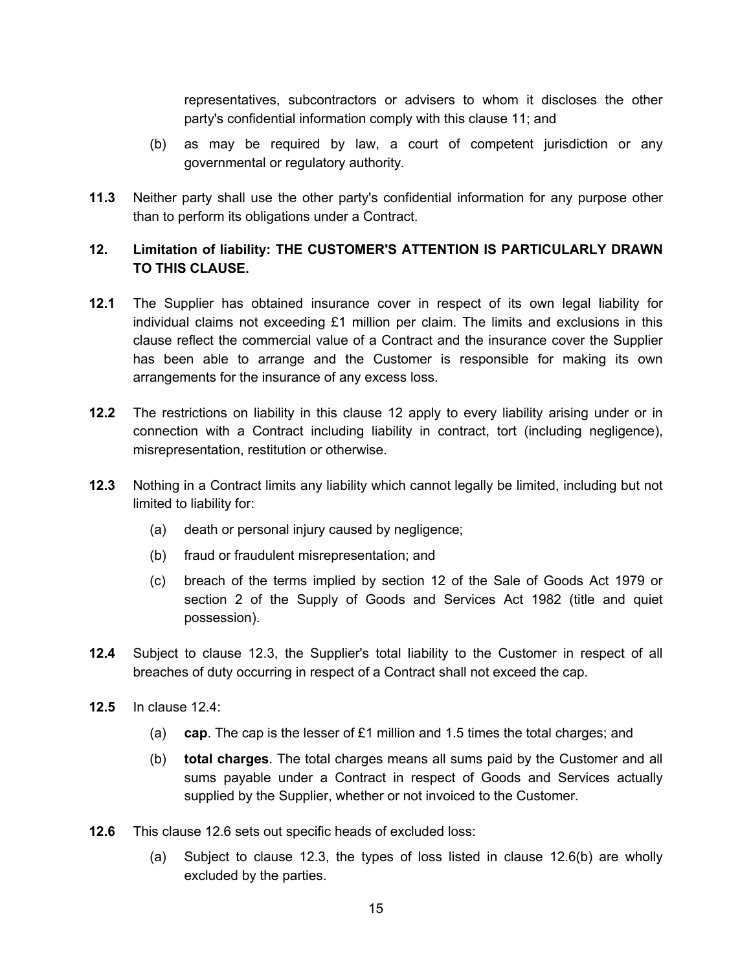representatives, subcontractors or advisers to whom it discloses the other party's confidential information comply with this clause 11; and

- (b) as may be required by law, a court of competent jurisdiction or any governmental or regulatory authority*.*
- **11.3** Neither party shall use the other party's confidential information for any purpose other than to perform its obligations under a Contract.

# **12. Limitation of liability: THE CUSTOMER'S ATTENTION IS PARTICULARLY DRAWN TO THIS CLAUSE.**

- **12.1** The Supplier has obtained insurance cover in respect of its own legal liability for individual claims not exceeding £1 million per claim. The limits and exclusions in this clause reflect the commercial value of a Contract and the insurance cover the Supplier has been able to arrange and the Customer is responsible for making its own arrangements for the insurance of any excess loss.
- **12.2** The restrictions on liability in this clause 12 apply to every liability arising under or in connection with a Contract including liability in contract, tort (including negligence), misrepresentation, restitution or otherwise.
- **12.3** Nothing in a Contract limits any liability which cannot legally be limited, including but not limited to liability for:
	- (a) death or personal injury caused by negligence;
	- (b) fraud or fraudulent misrepresentation; and
	- (c) breach of the terms implied by section 12 of the Sale of Goods Act 1979 or section 2 of the Supply of Goods and Services Act 1982 (title and quiet possession).
- **12.4** Subject to clause 12.3, the Supplier's total liability to the Customer in respect of all breaches of duty occurring in respect of a Contract shall not exceed the cap.
- **12.5** In clause 12.4:
	- (a) **cap**. The cap is the lesser of £1 million and 1.5 times the total charges; and
	- (b) **total charges**. The total charges means all sums paid by the Customer and all sums payable under a Contract in respect of Goods and Services actually supplied by the Supplier, whether or not invoiced to the Customer.
- **12.6** This clause 12.6 sets out specific heads of excluded loss:
	- (a) Subject to clause 12.3, the types of loss listed in clause 12.6(b) are wholly excluded by the parties.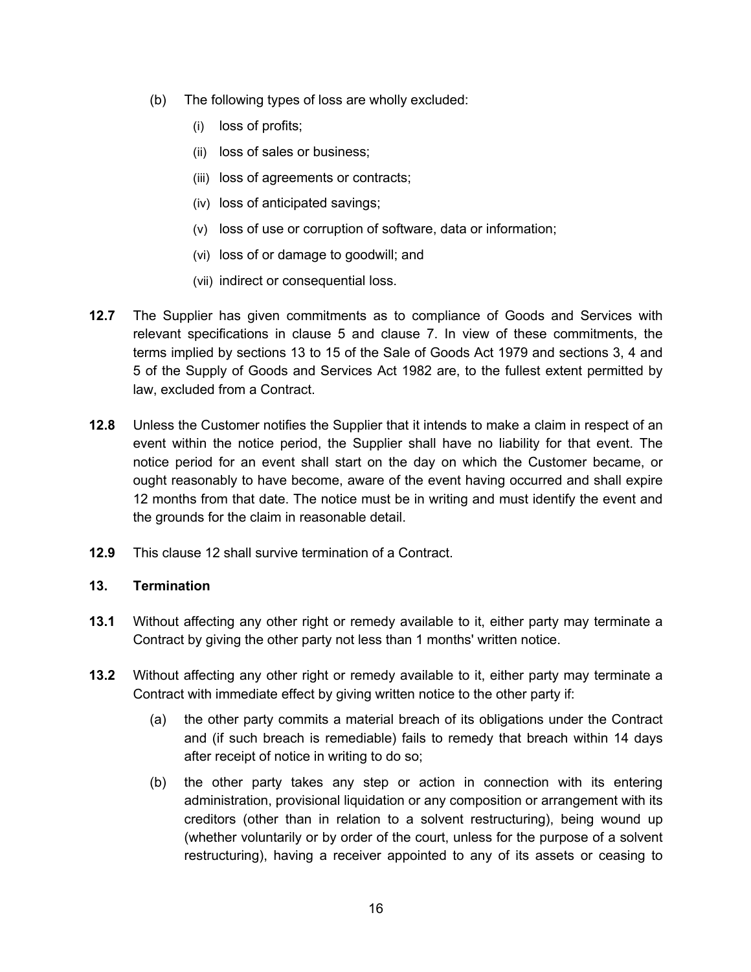- (b) The following types of loss are wholly excluded:
	- (i) loss of profits;
	- (ii) loss of sales or business;
	- (iii) loss of agreements or contracts;
	- (iv) loss of anticipated savings;
	- (v) loss of use or corruption of software, data or information;
	- (vi) loss of or damage to goodwill; and
	- (vii) indirect or consequential loss.
- **12.7** The Supplier has given commitments as to compliance of Goods and Services with relevant specifications in clause 5 and clause 7. In view of these commitments, the terms implied by sections 13 to 15 of the Sale of Goods Act 1979 and sections 3, 4 and 5 of the Supply of Goods and Services Act 1982 are, to the fullest extent permitted by law, excluded from a Contract.
- **12.8** Unless the Customer notifies the Supplier that it intends to make a claim in respect of an event within the notice period, the Supplier shall have no liability for that event. The notice period for an event shall start on the day on which the Customer became, or ought reasonably to have become, aware of the event having occurred and shall expire 12 months from that date. The notice must be in writing and must identify the event and the grounds for the claim in reasonable detail.
- **12.9** This clause 12 shall survive termination of a Contract.

## **13. Termination**

- **13.1** Without affecting any other right or remedy available to it, either party may terminate a Contract by giving the other party not less than 1 months' written notice.
- **13.2** Without affecting any other right or remedy available to it, either party may terminate a Contract with immediate effect by giving written notice to the other party if:
	- (a) the other party commits a material breach of its obligations under the Contract and (if such breach is remediable) fails to remedy that breach within 14 days after receipt of notice in writing to do so;
	- (b) the other party takes any step or action in connection with its entering administration, provisional liquidation or any composition or arrangement with its creditors (other than in relation to a solvent restructuring), being wound up (whether voluntarily or by order of the court, unless for the purpose of a solvent restructuring), having a receiver appointed to any of its assets or ceasing to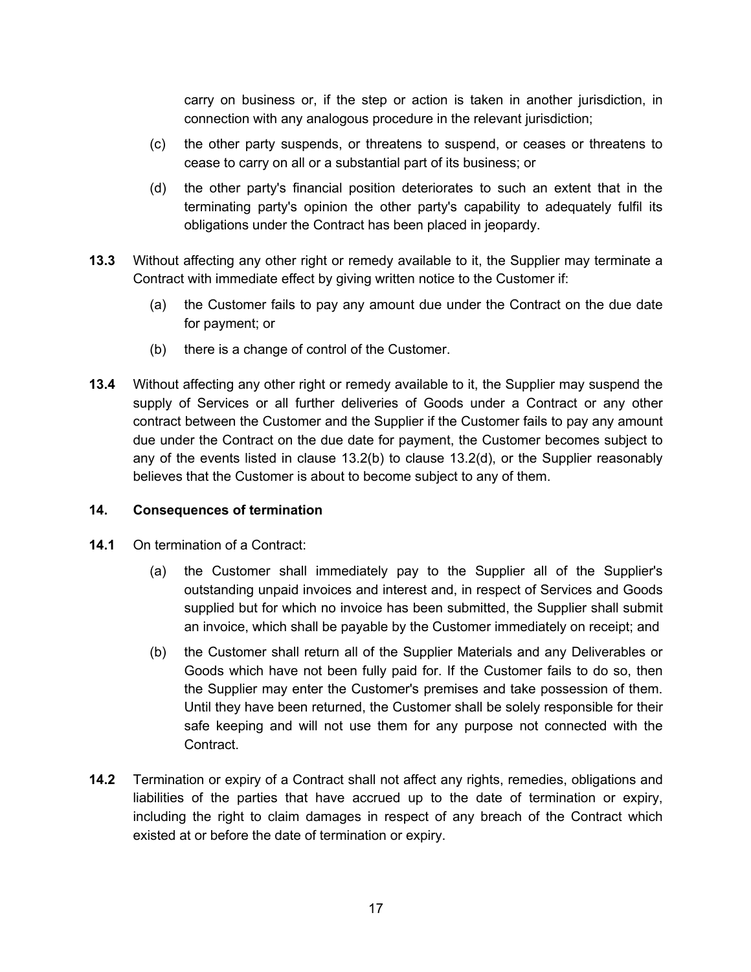carry on business or, if the step or action is taken in another jurisdiction, in connection with any analogous procedure in the relevant jurisdiction;

- (c) the other party suspends, or threatens to suspend, or ceases or threatens to cease to carry on all or a substantial part of its business; or
- (d) the other party's financial position deteriorates to such an extent that in the terminating party's opinion the other party's capability to adequately fulfil its obligations under the Contract has been placed in jeopardy.
- **13.3** Without affecting any other right or remedy available to it, the Supplier may terminate a Contract with immediate effect by giving written notice to the Customer if:
	- (a) the Customer fails to pay any amount due under the Contract on the due date for payment; or
	- (b) there is a change of control of the Customer.
- **13.4** Without affecting any other right or remedy available to it, the Supplier may suspend the supply of Services or all further deliveries of Goods under a Contract or any other contract between the Customer and the Supplier if the Customer fails to pay any amount due under the Contract on the due date for payment, the Customer becomes subject to any of the events listed in clause 13.2(b) to clause 13.2(d), or the Supplier reasonably believes that the Customer is about to become subject to any of them.

## **14. Consequences of termination**

- **14.1** On termination of a Contract:
	- (a) the Customer shall immediately pay to the Supplier all of the Supplier's outstanding unpaid invoices and interest and, in respect of Services and Goods supplied but for which no invoice has been submitted, the Supplier shall submit an invoice, which shall be payable by the Customer immediately on receipt; and
	- (b) the Customer shall return all of the Supplier Materials and any Deliverables or Goods which have not been fully paid for. If the Customer fails to do so, then the Supplier may enter the Customer's premises and take possession of them. Until they have been returned, the Customer shall be solely responsible for their safe keeping and will not use them for any purpose not connected with the Contract.
- **14.2** Termination or expiry of a Contract shall not affect any rights, remedies, obligations and liabilities of the parties that have accrued up to the date of termination or expiry, including the right to claim damages in respect of any breach of the Contract which existed at or before the date of termination or expiry.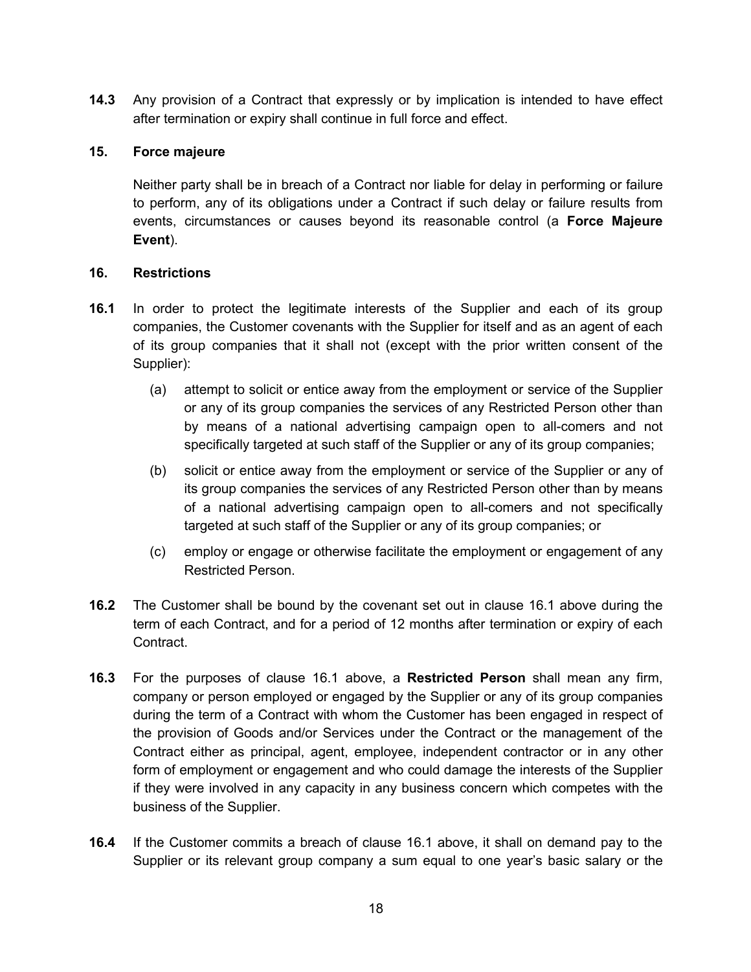**14.3** Any provision of a Contract that expressly or by implication is intended to have effect after termination or expiry shall continue in full force and effect.

## **15. Force majeure**

Neither party shall be in breach of a Contract nor liable for delay in performing or failure to perform, any of its obligations under a Contract if such delay or failure results from events, circumstances or causes beyond its reasonable control (a **Force Majeure Event**).

#### **16. Restrictions**

- **16.1** In order to protect the legitimate interests of the Supplier and each of its group companies, the Customer covenants with the Supplier for itself and as an agent of each of its group companies that it shall not (except with the prior written consent of the Supplier):
	- (a) attempt to solicit or entice away from the employment or service of the Supplier or any of its group companies the services of any Restricted Person other than by means of a national advertising campaign open to all-comers and not specifically targeted at such staff of the Supplier or any of its group companies;
	- (b) solicit or entice away from the employment or service of the Supplier or any of its group companies the services of any Restricted Person other than by means of a national advertising campaign open to all-comers and not specifically targeted at such staff of the Supplier or any of its group companies; or
	- (c) employ or engage or otherwise facilitate the employment or engagement of any Restricted Person.
- **16.2** The Customer shall be bound by the covenant set out in clause 16.1 above during the term of each Contract, and for a period of 12 months after termination or expiry of each Contract.
- **16.3** For the purposes of clause 16.1 above, a **Restricted Person** shall mean any firm, company or person employed or engaged by the Supplier or any of its group companies during the term of a Contract with whom the Customer has been engaged in respect of the provision of Goods and/or Services under the Contract or the management of the Contract either as principal, agent, employee, independent contractor or in any other form of employment or engagement and who could damage the interests of the Supplier if they were involved in any capacity in any business concern which competes with the business of the Supplier.
- **16.4** If the Customer commits a breach of clause 16.1 above, it shall on demand pay to the Supplier or its relevant group company a sum equal to one year's basic salary or the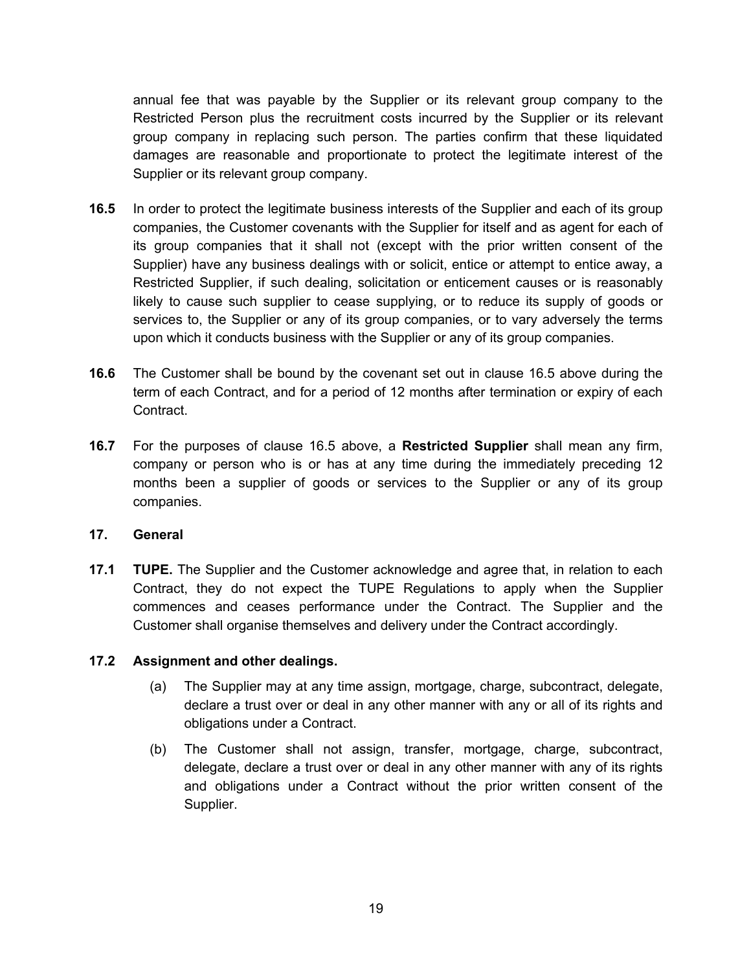annual fee that was payable by the Supplier or its relevant group company to the Restricted Person plus the recruitment costs incurred by the Supplier or its relevant group company in replacing such person. The parties confirm that these liquidated damages are reasonable and proportionate to protect the legitimate interest of the Supplier or its relevant group company.

- **16.5** In order to protect the legitimate business interests of the Supplier and each of its group companies, the Customer covenants with the Supplier for itself and as agent for each of its group companies that it shall not (except with the prior written consent of the Supplier) have any business dealings with or solicit, entice or attempt to entice away, a Restricted Supplier, if such dealing, solicitation or enticement causes or is reasonably likely to cause such supplier to cease supplying, or to reduce its supply of goods or services to, the Supplier or any of its group companies, or to vary adversely the terms upon which it conducts business with the Supplier or any of its group companies.
- **16.6** The Customer shall be bound by the covenant set out in clause 16.5 above during the term of each Contract, and for a period of 12 months after termination or expiry of each Contract.
- **16.7** For the purposes of clause 16.5 above, a **Restricted Supplier** shall mean any firm, company or person who is or has at any time during the immediately preceding 12 months been a supplier of goods or services to the Supplier or any of its group companies.

## **17. General**

**17.1 TUPE.** The Supplier and the Customer acknowledge and agree that, in relation to each Contract, they do not expect the TUPE Regulations to apply when the Supplier commences and ceases performance under the Contract. The Supplier and the Customer shall organise themselves and delivery under the Contract accordingly.

## **17.2 Assignment and other dealings.**

- (a) The Supplier may at any time assign, mortgage, charge, subcontract, delegate, declare a trust over or deal in any other manner with any or all of its rights and obligations under a Contract.
- (b) The Customer shall not assign, transfer, mortgage, charge, subcontract, delegate, declare a trust over or deal in any other manner with any of its rights and obligations under a Contract without the prior written consent of the Supplier.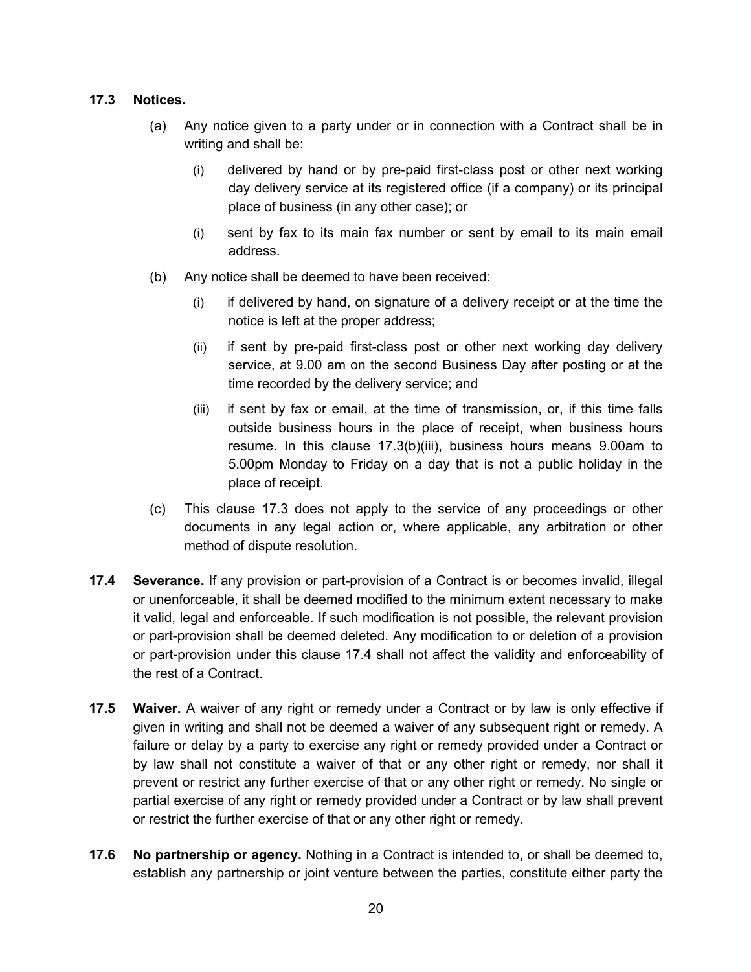# **17.3 Notices.**

- (a) Any notice given to a party under or in connection with a Contract shall be in writing and shall be:
	- (i) delivered by hand or by pre-paid first-class post or other next working day delivery service at its registered office (if a company) or its principal place of business (in any other case); or
	- (i) sent by fax to its main fax number or sent by email to its main email address.
- (b) Any notice shall be deemed to have been received:
	- (i) if delivered by hand, on signature of a delivery receipt or at the time the notice is left at the proper address;
	- (ii) if sent by pre-paid first-class post or other next working day delivery service, at 9.00 am on the second Business Day after posting or at the time recorded by the delivery service; and
	- (iii) if sent by fax or email, at the time of transmission, or, if this time falls outside business hours in the place of receipt, when business hours resume. In this clause 17.3(b)(iii), business hours means 9.00am to 5.00pm Monday to Friday on a day that is not a public holiday in the place of receipt.
- (c) This clause 17.3 does not apply to the service of any proceedings or other documents in any legal action or, where applicable, any arbitration or other method of dispute resolution.
- **17.4 Severance.** If any provision or part-provision of a Contract is or becomes invalid, illegal or unenforceable, it shall be deemed modified to the minimum extent necessary to make it valid, legal and enforceable. If such modification is not possible, the relevant provision or part-provision shall be deemed deleted. Any modification to or deletion of a provision or part-provision under this clause 17.4 shall not affect the validity and enforceability of the rest of a Contract.
- **17.5 Waiver.** A waiver of any right or remedy under a Contract or by law is only effective if given in writing and shall not be deemed a waiver of any subsequent right or remedy. A failure or delay by a party to exercise any right or remedy provided under a Contract or by law shall not constitute a waiver of that or any other right or remedy, nor shall it prevent or restrict any further exercise of that or any other right or remedy. No single or partial exercise of any right or remedy provided under a Contract or by law shall prevent or restrict the further exercise of that or any other right or remedy.
- **17.6 No partnership or agency.** Nothing in a Contract is intended to, or shall be deemed to, establish any partnership or joint venture between the parties, constitute either party the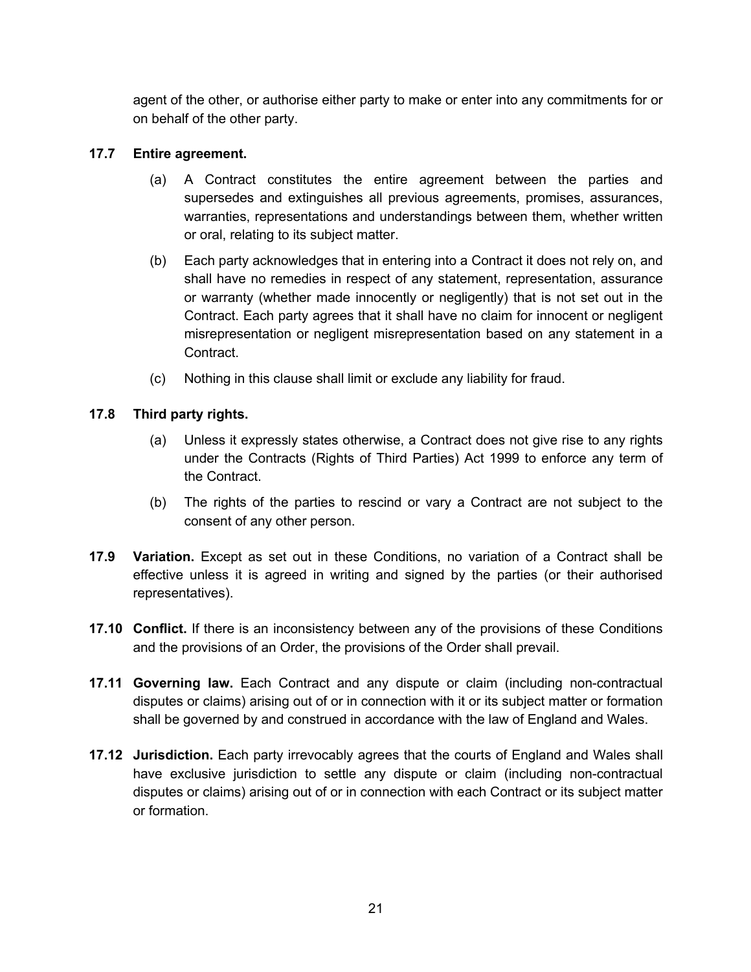agent of the other, or authorise either party to make or enter into any commitments for or on behalf of the other party.

# **17.7 Entire agreement.**

- (a) A Contract constitutes the entire agreement between the parties and supersedes and extinguishes all previous agreements, promises, assurances, warranties, representations and understandings between them, whether written or oral, relating to its subject matter.
- (b) Each party acknowledges that in entering into a Contract it does not rely on, and shall have no remedies in respect of any statement, representation, assurance or warranty (whether made innocently or negligently) that is not set out in the Contract. Each party agrees that it shall have no claim for innocent or negligent misrepresentation or negligent misrepresentation based on any statement in a Contract.
- (c) Nothing in this clause shall limit or exclude any liability for fraud.

# **17.8 Third party rights.**

- (a) Unless it expressly states otherwise, a Contract does not give rise to any rights under the Contracts (Rights of Third Parties) Act 1999 to enforce any term of the Contract.
- (b) The rights of the parties to rescind or vary a Contract are not subject to the consent of any other person.
- **17.9 Variation.** Except as set out in these Conditions, no variation of a Contract shall be effective unless it is agreed in writing and signed by the parties (or their authorised representatives).
- **17.10 Conflict.** If there is an inconsistency between any of the provisions of these Conditions and the provisions of an Order, the provisions of the Order shall prevail.
- **17.11 Governing law.** Each Contract and any dispute or claim (including non-contractual disputes or claims) arising out of or in connection with it or its subject matter or formation shall be governed by and construed in accordance with the law of England and Wales.
- **17.12 Jurisdiction.** Each party irrevocably agrees that the courts of England and Wales shall have exclusive jurisdiction to settle any dispute or claim (including non-contractual disputes or claims) arising out of or in connection with each Contract or its subject matter or formation.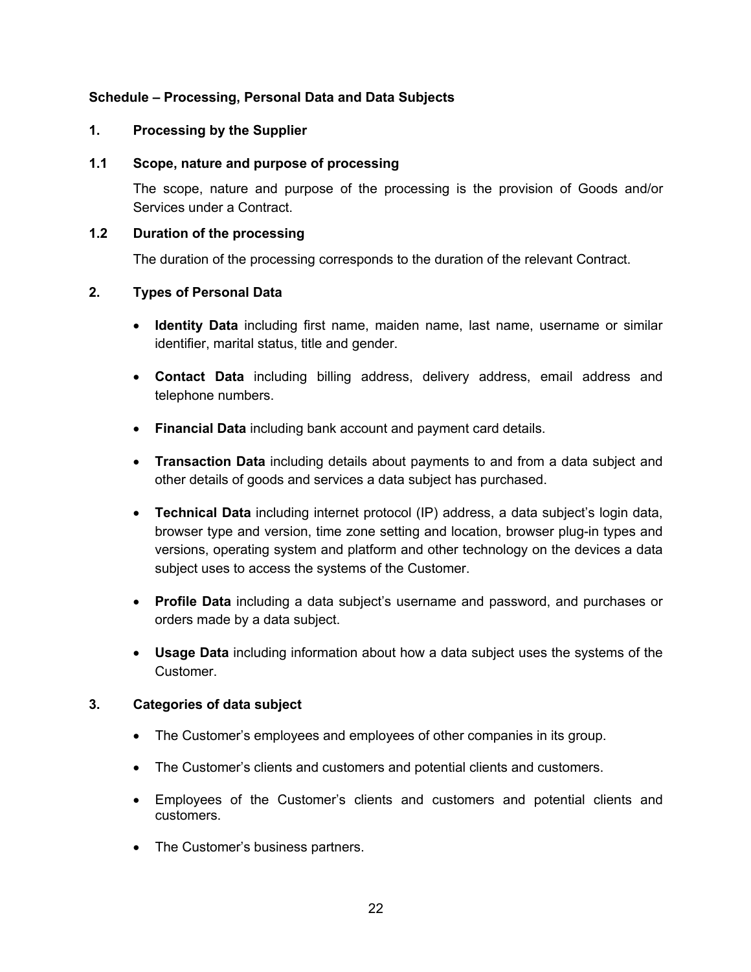## **Schedule – Processing, Personal Data and Data Subjects**

#### **1. Processing by the Supplier**

#### **1.1 Scope, nature and purpose of processing**

The scope, nature and purpose of the processing is the provision of Goods and/or Services under a Contract.

#### **1.2 Duration of the processing**

The duration of the processing corresponds to the duration of the relevant Contract.

#### **2. Types of Personal Data**

- **Identity Data** including first name, maiden name, last name, username or similar identifier, marital status, title and gender.
- **Contact Data** including billing address, delivery address, email address and telephone numbers.
- **Financial Data** including bank account and payment card details.
- **Transaction Data** including details about payments to and from a data subject and other details of goods and services a data subject has purchased.
- **Technical Data** including internet protocol (IP) address, a data subject's login data, browser type and version, time zone setting and location, browser plug-in types and versions, operating system and platform and other technology on the devices a data subject uses to access the systems of the Customer.
- **Profile Data** including a data subject's username and password, and purchases or orders made by a data subject.
- **Usage Data** including information about how a data subject uses the systems of the Customer.

## **3. Categories of data subject**

- The Customer's employees and employees of other companies in its group.
- The Customer's clients and customers and potential clients and customers.
- Employees of the Customer's clients and customers and potential clients and customers.
- The Customer's business partners.